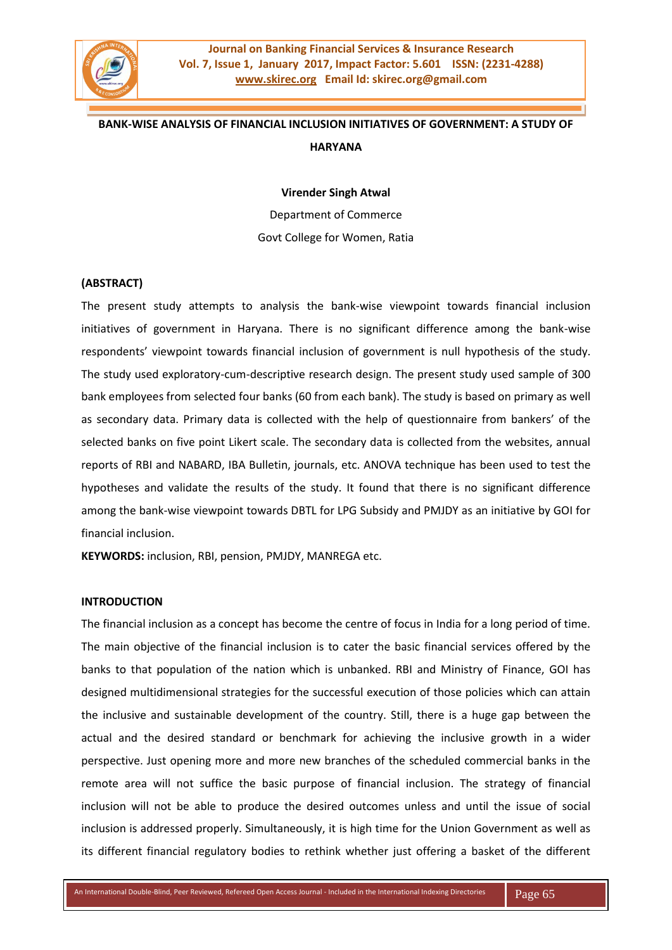

# **BANK-WISE ANALYSIS OF FINANCIAL INCLUSION INITIATIVES OF GOVERNMENT: A STUDY OF HARYANA**

#### **Virender Singh Atwal**

Department of Commerce Govt College for Women, Ratia

## **(ABSTRACT)**

The present study attempts to analysis the bank-wise viewpoint towards financial inclusion initiatives of government in Haryana. There is no significant difference among the bank-wise respondents' viewpoint towards financial inclusion of government is null hypothesis of the study. The study used exploratory-cum-descriptive research design. The present study used sample of 300 bank employees from selected four banks (60 from each bank). The study is based on primary as well as secondary data. Primary data is collected with the help of questionnaire from bankers' of the selected banks on five point Likert scale. The secondary data is collected from the websites, annual reports of RBI and NABARD, IBA Bulletin, journals, etc. ANOVA technique has been used to test the hypotheses and validate the results of the study. It found that there is no significant difference among the bank-wise viewpoint towards DBTL for LPG Subsidy and PMJDY as an initiative by GOI for financial inclusion.

**KEYWORDS:** inclusion, RBI, pension, PMJDY, MANREGA etc.

### **INTRODUCTION**

The financial inclusion as a concept has become the centre of focus in India for a long period of time. The main objective of the financial inclusion is to cater the basic financial services offered by the banks to that population of the nation which is unbanked. RBI and Ministry of Finance, GOI has designed multidimensional strategies for the successful execution of those policies which can attain the inclusive and sustainable development of the country. Still, there is a huge gap between the actual and the desired standard or benchmark for achieving the inclusive growth in a wider perspective. Just opening more and more new branches of the scheduled commercial banks in the remote area will not suffice the basic purpose of financial inclusion. The strategy of financial inclusion will not be able to produce the desired outcomes unless and until the issue of social inclusion is addressed properly. Simultaneously, it is high time for the Union Government as well as its different financial regulatory bodies to rethink whether just offering a basket of the different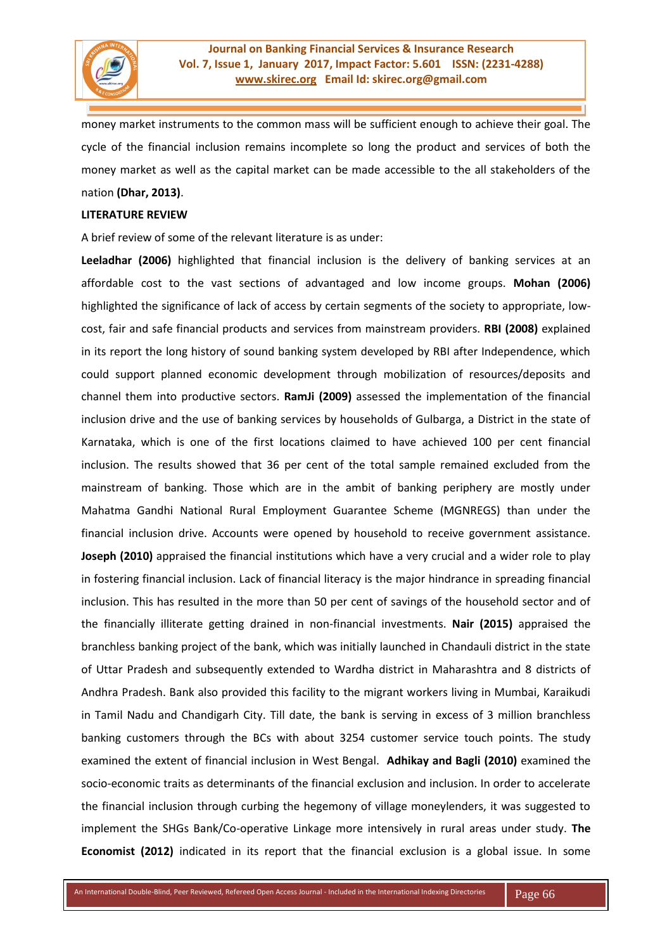

money market instruments to the common mass will be sufficient enough to achieve their goal. The cycle of the financial inclusion remains incomplete so long the product and services of both the money market as well as the capital market can be made accessible to the all stakeholders of the nation **(Dhar, 2013)**.

#### **LITERATURE REVIEW**

A brief review of some of the relevant literature is as under:

**Leeladhar (2006)** highlighted that financial inclusion is the delivery of banking services at an affordable cost to the vast sections of advantaged and low income groups. **Mohan (2006)**  highlighted the significance of lack of access by certain segments of the society to appropriate, lowcost, fair and safe financial products and services from mainstream providers. **RBI (2008)** explained in its report the long history of sound banking system developed by RBI after Independence, which could support planned economic development through mobilization of resources/deposits and channel them into productive sectors. **RamJi (2009)** assessed the implementation of the financial inclusion drive and the use of banking services by households of Gulbarga, a District in the state of Karnataka, which is one of the first locations claimed to have achieved 100 per cent financial inclusion. The results showed that 36 per cent of the total sample remained excluded from the mainstream of banking. Those which are in the ambit of banking periphery are mostly under Mahatma Gandhi National Rural Employment Guarantee Scheme (MGNREGS) than under the financial inclusion drive. Accounts were opened by household to receive government assistance. **Joseph (2010)** appraised the financial institutions which have a very crucial and a wider role to play in fostering financial inclusion. Lack of financial literacy is the major hindrance in spreading financial inclusion. This has resulted in the more than 50 per cent of savings of the household sector and of the financially illiterate getting drained in non-financial investments. **Nair (2015)** appraised the branchless banking project of the bank, which was initially launched in Chandauli district in the state of Uttar Pradesh and subsequently extended to Wardha district in Maharashtra and 8 districts of Andhra Pradesh. Bank also provided this facility to the migrant workers living in Mumbai, Karaikudi in Tamil Nadu and Chandigarh City. Till date, the bank is serving in excess of 3 million branchless banking customers through the BCs with about 3254 customer service touch points. The study examined the extent of financial inclusion in West Bengal. **Adhikay and Bagli (2010)** examined the socio-economic traits as determinants of the financial exclusion and inclusion. In order to accelerate the financial inclusion through curbing the hegemony of village moneylenders, it was suggested to implement the SHGs Bank/Co-operative Linkage more intensively in rural areas under study. **The Economist (2012)** indicated in its report that the financial exclusion is a global issue. In some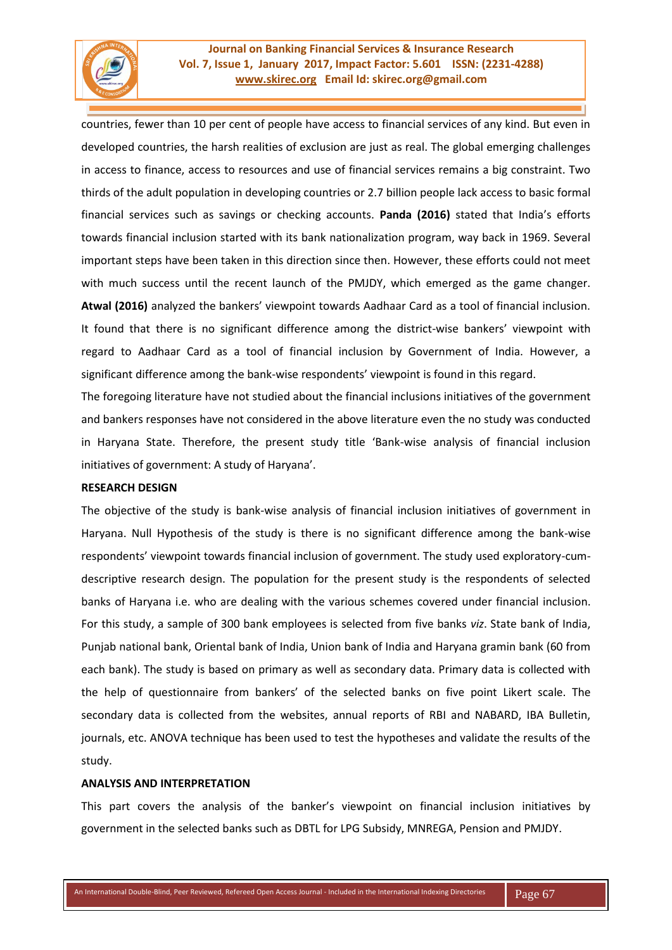

countries, fewer than 10 per cent of people have access to financial services of any kind. But even in developed countries, the harsh realities of exclusion are just as real. The global emerging challenges in access to finance, access to resources and use of financial services remains a big constraint. Two thirds of the adult population in developing countries or 2.7 billion people lack access to basic formal financial services such as savings or checking accounts. **Panda (2016)** stated that India's efforts towards financial inclusion started with its bank nationalization program, way back in 1969. Several important steps have been taken in this direction since then. However, these efforts could not meet with much success until the recent launch of the PMJDY, which emerged as the game changer. **Atwal (2016)** analyzed the bankers' viewpoint towards Aadhaar Card as a tool of financial inclusion. It found that there is no significant difference among the district-wise bankers' viewpoint with regard to Aadhaar Card as a tool of financial inclusion by Government of India. However, a significant difference among the bank-wise respondents' viewpoint is found in this regard.

The foregoing literature have not studied about the financial inclusions initiatives of the government and bankers responses have not considered in the above literature even the no study was conducted in Haryana State. Therefore, the present study title 'Bank-wise analysis of financial inclusion initiatives of government: A study of Haryana'.

#### **RESEARCH DESIGN**

The objective of the study is bank-wise analysis of financial inclusion initiatives of government in Haryana. Null Hypothesis of the study is there is no significant difference among the bank-wise respondents' viewpoint towards financial inclusion of government. The study used exploratory-cumdescriptive research design. The population for the present study is the respondents of selected banks of Haryana i.e. who are dealing with the various schemes covered under financial inclusion. For this study, a sample of 300 bank employees is selected from five banks *viz*. State bank of India, Punjab national bank, Oriental bank of India, Union bank of India and Haryana gramin bank (60 from each bank). The study is based on primary as well as secondary data. Primary data is collected with the help of questionnaire from bankers' of the selected banks on five point Likert scale. The secondary data is collected from the websites, annual reports of RBI and NABARD, IBA Bulletin, journals, etc. ANOVA technique has been used to test the hypotheses and validate the results of the study.

## **ANALYSIS AND INTERPRETATION**

This part covers the analysis of the banker's viewpoint on financial inclusion initiatives by government in the selected banks such as DBTL for LPG Subsidy, MNREGA, Pension and PMJDY.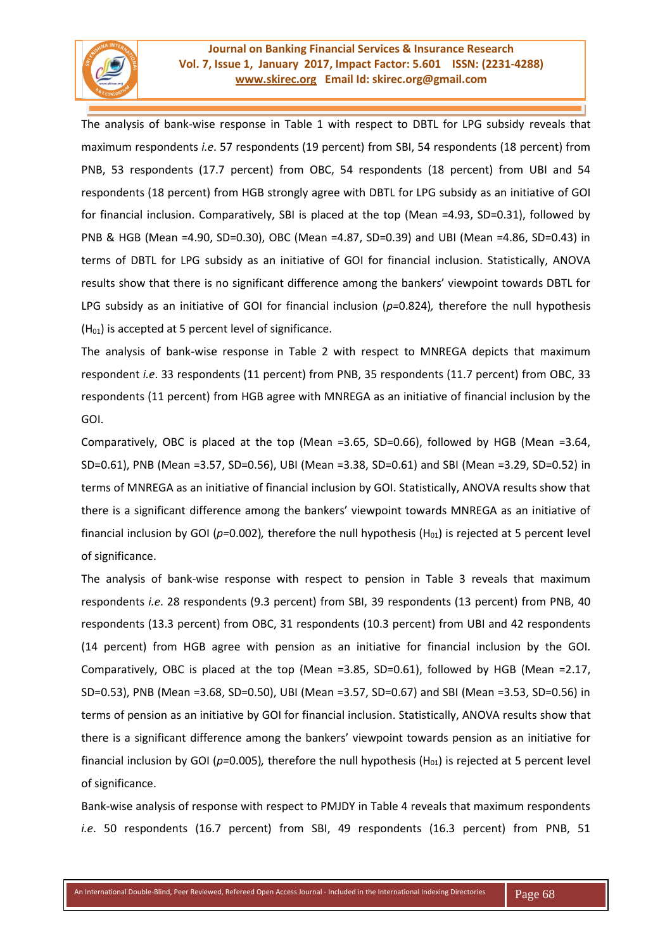

## **Journal on Banking Financial Services & Insurance Research Vol. 7, Issue 1, January 2017, Impact Factor: 5.601 ISSN: (2231-4288) [www.skirec.org](http://www.skirec.org/) Email Id: skirec.org@gmail.com**

The analysis of bank-wise response in Table 1 with respect to DBTL for LPG subsidy reveals that maximum respondents *i.e*. 57 respondents (19 percent) from SBI, 54 respondents (18 percent) from PNB, 53 respondents (17.7 percent) from OBC, 54 respondents (18 percent) from UBI and 54 respondents (18 percent) from HGB strongly agree with DBTL for LPG subsidy as an initiative of GOI for financial inclusion. Comparatively, SBI is placed at the top (Mean =4.93, SD=0.31), followed by PNB & HGB (Mean =4.90, SD=0.30), OBC (Mean =4.87, SD=0.39) and UBI (Mean =4.86, SD=0.43) in terms of DBTL for LPG subsidy as an initiative of GOI for financial inclusion. Statistically, ANOVA results show that there is no significant difference among the bankers' viewpoint towards DBTL for LPG subsidy as an initiative of GOI for financial inclusion (*p=*0.824)*,* therefore the null hypothesis  $(H<sub>01</sub>)$  is accepted at 5 percent level of significance.

The analysis of bank-wise response in Table 2 with respect to MNREGA depicts that maximum respondent *i.e*. 33 respondents (11 percent) from PNB, 35 respondents (11.7 percent) from OBC, 33 respondents (11 percent) from HGB agree with MNREGA as an initiative of financial inclusion by the GOI.

Comparatively, OBC is placed at the top (Mean =3.65, SD=0.66), followed by HGB (Mean =3.64, SD=0.61), PNB (Mean =3.57, SD=0.56), UBI (Mean =3.38, SD=0.61) and SBI (Mean =3.29, SD=0.52) in terms of MNREGA as an initiative of financial inclusion by GOI. Statistically, ANOVA results show that there is a significant difference among the bankers' viewpoint towards MNREGA as an initiative of financial inclusion by GOI ( $p=0.002$ ), therefore the null hypothesis ( $H_{01}$ ) is rejected at 5 percent level of significance.

The analysis of bank-wise response with respect to pension in Table 3 reveals that maximum respondents *i.e*. 28 respondents (9.3 percent) from SBI, 39 respondents (13 percent) from PNB, 40 respondents (13.3 percent) from OBC, 31 respondents (10.3 percent) from UBI and 42 respondents (14 percent) from HGB agree with pension as an initiative for financial inclusion by the GOI. Comparatively, OBC is placed at the top (Mean =3.85, SD=0.61), followed by HGB (Mean =2.17, SD=0.53), PNB (Mean =3.68, SD=0.50), UBI (Mean =3.57, SD=0.67) and SBI (Mean =3.53, SD=0.56) in terms of pension as an initiative by GOI for financial inclusion. Statistically, ANOVA results show that there is a significant difference among the bankers' viewpoint towards pension as an initiative for financial inclusion by GOI ( $p=0.005$ ), therefore the null hypothesis (H<sub>01</sub>) is rejected at 5 percent level of significance.

Bank-wise analysis of response with respect to PMJDY in Table 4 reveals that maximum respondents *i.e*. 50 respondents (16.7 percent) from SBI, 49 respondents (16.3 percent) from PNB, 51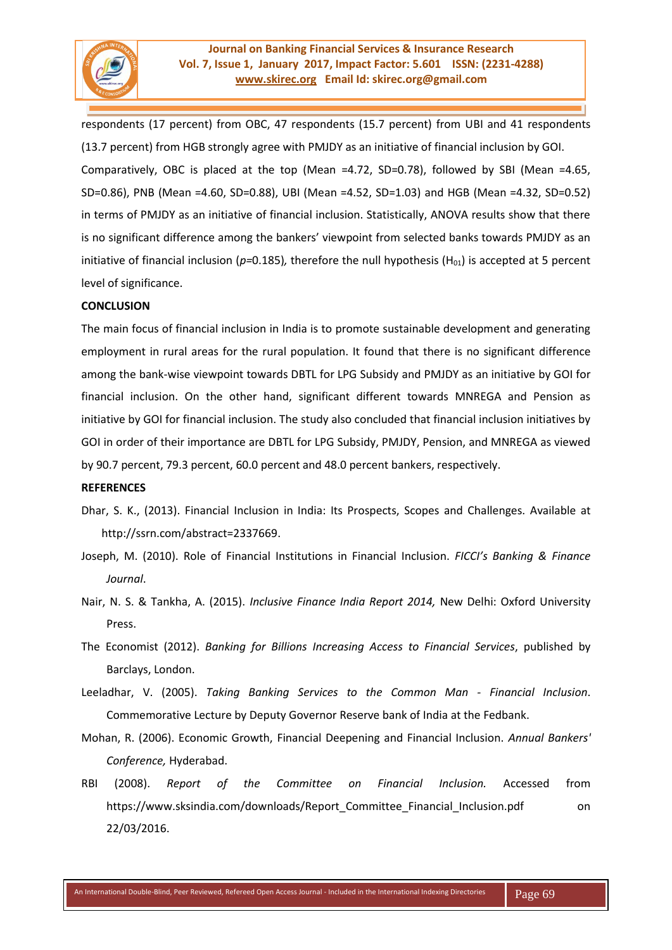

respondents (17 percent) from OBC, 47 respondents (15.7 percent) from UBI and 41 respondents (13.7 percent) from HGB strongly agree with PMJDY as an initiative of financial inclusion by GOI. Comparatively, OBC is placed at the top (Mean =4.72, SD=0.78), followed by SBI (Mean =4.65, SD=0.86), PNB (Mean =4.60, SD=0.88), UBI (Mean =4.52, SD=1.03) and HGB (Mean =4.32, SD=0.52) in terms of PMJDY as an initiative of financial inclusion. Statistically, ANOVA results show that there is no significant difference among the bankers' viewpoint from selected banks towards PMJDY as an initiative of financial inclusion ( $p=0.185$ ), therefore the null hypothesis (H<sub>01</sub>) is accepted at 5 percent level of significance.

#### **CONCLUSION**

The main focus of financial inclusion in India is to promote sustainable development and generating employment in rural areas for the rural population. It found that there is no significant difference among the bank-wise viewpoint towards DBTL for LPG Subsidy and PMJDY as an initiative by GOI for financial inclusion. On the other hand, significant different towards MNREGA and Pension as initiative by GOI for financial inclusion. The study also concluded that financial inclusion initiatives by GOI in order of their importance are DBTL for LPG Subsidy, PMJDY, Pension, and MNREGA as viewed by 90.7 percent, 79.3 percent, 60.0 percent and 48.0 percent bankers, respectively.

#### **REFERENCES**

- Dhar, S. K., (2013). Financial Inclusion in India: Its Prospects, Scopes and Challenges. Available at [http://ssrn.com/abstract=2337669.](http://ssrn.com/abstract=2337669)
- Joseph, M. (2010). Role of Financial Institutions in Financial Inclusion. *FICCI's Banking & Finance Journal*.
- Nair, N. S. & Tankha, A. (2015). *Inclusive Finance India Report 2014,* New Delhi: Oxford University Press.
- The Economist (2012). *Banking for Billions Increasing Access to Financial Services*, published by Barclays, London.
- Leeladhar, V. (2005). *Taking Banking Services to the Common Man - Financial Inclusion*. Commemorative Lecture by Deputy Governor Reserve bank of India at the Fedbank.
- Mohan, R. (2006). Economic Growth, Financial Deepening and Financial Inclusion. *Annual Bankers' Conference,* Hyderabad.
- RBI (2008). *Report of the Committee on Financial Inclusion.* Accessed from https://www.sksindia.com/downloads/Report\_Committee\_Financial\_Inclusion.pdf on 22/03/2016.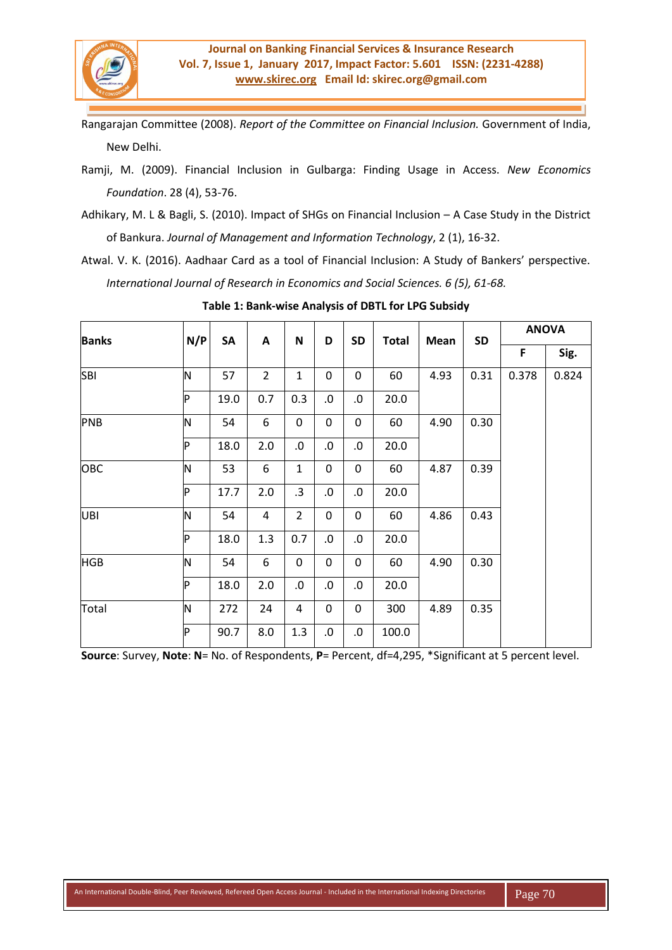

Rangarajan Committee (2008). *Report of the Committee on Financial Inclusion.* Government of India, New Delhi.

- Ramji, M. (2009). Financial Inclusion in Gulbarga: Finding Usage in Access. *New Economics Foundation*. 28 (4), 53-76.
- Adhikary, M. L & Bagli, S. (2010). Impact of SHGs on Financial Inclusion A Case Study in the District of Bankura. *Journal of Management and Information Technology*, 2 (1), 16-32.
- Atwal. V. K. (2016). Aadhaar Card as a tool of Financial Inclusion: A Study of Bankers' perspective. *International Journal of Research in Economics and Social Sciences. 6 (5), 61-68.*

| <b>Banks</b> | N/P      | SA   | A              | $\mathbf N$    | D          | <b>SD</b>   | <b>Total</b> | Mean | <b>SD</b> | <b>ANOVA</b> |       |
|--------------|----------|------|----------------|----------------|------------|-------------|--------------|------|-----------|--------------|-------|
|              |          |      |                |                |            |             |              |      |           | F            | Sig.  |
| <b>SBI</b>   | N        | 57   | $\overline{2}$ | $\mathbf{1}$   | 0          | $\mathbf 0$ | 60           | 4.93 | 0.31      | 0.378        | 0.824 |
|              | P        | 19.0 | 0.7            | 0.3            | ${\bf 0}.$ | $\cdot$ 0.  | 20.0         |      |           |              |       |
| PNB          | N        | 54   | 6              | 0              | 0          | 0           | 60           | 4.90 | 0.30      |              |       |
|              | P        | 18.0 | 2.0            | ${\bf .0}$     | ${\bf 0}.$ | $\cdot$ 0.  | 20.0         |      |           |              |       |
| OBC          | N        | 53   | 6              | 1              | 0          | 0           | 60           | 4.87 | 0.39      |              |       |
|              | <b>P</b> | 17.7 | 2.0            | .3             | 0.         | $\cdot 0$   | 20.0         |      |           |              |       |
| <b>UBI</b>   | N        | 54   | 4              | $\overline{2}$ | 0          | 0           | 60           | 4.86 | 0.43      |              |       |
|              | P        | 18.0 | 1.3            | 0.7            | .0         | $\cdot$ 0.  | 20.0         |      |           |              |       |
| <b>HGB</b>   | N        | 54   | 6              | 0              | 0          | $\mathbf 0$ | 60           | 4.90 | 0.30      |              |       |
|              | P        | 18.0 | 2.0            | .0             | 0.         | $\cdot 0$   | 20.0         |      |           |              |       |
| Total        | N        | 272  | 24             | 4              | 0          | 0           | 300          | 4.89 | 0.35      |              |       |
|              | P        | 90.7 | 8.0            | 1.3            | 0.         | $\cdot$ 0.  | 100.0        |      |           |              |       |

**Table 1: Bank-wise Analysis of DBTL for LPG Subsidy**

**Source**: Survey, **Note**: **N**= No. of Respondents, **P**= Percent, df=4,295, \*Significant at 5 percent level.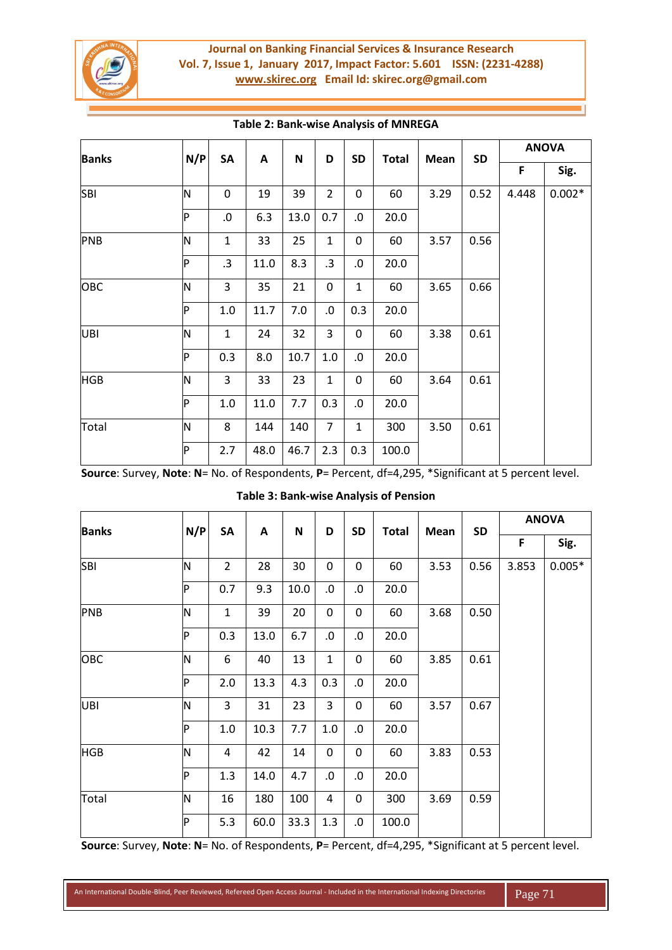

# **Journal on Banking Financial Services & Insurance Research Vol. 7, Issue 1, January 2017, Impact Factor: 5.601 ISSN: (2231-4288) [www.skirec.org](http://www.skirec.org/) Email Id: skirec.org@gmail.com**

| <b>Banks</b> | N/P | SA          | A    | N    | D              | <b>SD</b>        | <b>Total</b> | Mean         | <b>SD</b> | <b>ANOVA</b> |          |
|--------------|-----|-------------|------|------|----------------|------------------|--------------|--------------|-----------|--------------|----------|
|              |     |             |      |      |                |                  |              |              |           | F            | Sig.     |
| <b>SBI</b>   | N   | $\mathbf 0$ | 19   | 39   | $\overline{2}$ | $\mathbf 0$      | 60           | 3.29         | 0.52      | 4.448        | $0.002*$ |
|              | P   | $\cdot$ 0.  | 6.3  | 13.0 | 0.7            | $\cdot$ 0.       | 20.0         |              |           |              |          |
| PNB          | ΙN  | $\mathbf 1$ | 33   | 25   | $\mathbf{1}$   | $\boldsymbol{0}$ | 60           | 3.57<br>0.56 |           |              |          |
|              | P   | .3          | 11.0 | 8.3  | .3             | .0               | 20.0         |              |           |              |          |
| OBC          | N   | 3           | 35   | 21   | 0              | $\mathbf{1}$     | 60           | 3.65         | 0.66      |              |          |
|              | P   | 1.0         | 11.7 | 7.0  | $.0\,$         | 0.3              | 20.0         |              |           |              |          |
| UBI          | ΙN  | $\mathbf 1$ | 24   | 32   | 3              | 0                | 60           | 3.38         | 0.61      |              |          |
|              | P   | 0.3         | 8.0  | 10.7 | 1.0            | $.0\,$           | 20.0         |              |           |              |          |
| <b>HGB</b>   | ΙN  | 3           | 33   | 23   | $\mathbf{1}$   | $\mathbf 0$      | 60           | 3.64         | 0.61      |              |          |
|              | Þ   | $1.0\,$     | 11.0 | 7.7  | 0.3            | $\cdot$ 0.       | 20.0         |              |           |              |          |
| Total        | ΙN  | 8           | 144  | 140  | $\overline{7}$ | $\mathbf{1}$     | 300          | 3.50         | 0.61      |              |          |
|              | Þ   | 2.7         | 48.0 | 46.7 | 2.3            | 0.3              | 100.0        |              |           |              |          |

## **Table 2: Bank-wise Analysis of MNREGA**

**Source**: Survey, **Note**: **N**= No. of Respondents, **P**= Percent, df=4,295, \*Significant at 5 percent level.

| <b>Banks</b> | N/P          | SA             | A    | $\mathsf N$ | D            | <b>SD</b>  | <b>Total</b> | Mean         | <b>SD</b> | <b>ANOVA</b> |          |  |
|--------------|--------------|----------------|------|-------------|--------------|------------|--------------|--------------|-----------|--------------|----------|--|
|              |              |                |      |             |              |            |              |              |           | F            | Sig.     |  |
| <b>SBI</b>   | ΙN           | $\overline{2}$ | 28   | 30          | $\pmb{0}$    | 0          | 60           | 3.53         | 0.56      | 3.853        | $0.005*$ |  |
|              | P            | 0.7            | 9.3  | 10.0        | $0. \,$      | .0         | 20.0         |              |           |              |          |  |
| PNB          | N            | $\mathbf{1}$   | 39   | 20          | $\pmb{0}$    | 0          | 60           | 3.68<br>0.50 |           |              |          |  |
|              | $\mathsf{P}$ | 0.3            | 13.0 | 6.7         | 0.           | .0         | 20.0         |              |           |              |          |  |
| OBC          | N            | 6              | 40   | 13          | $\mathbf{1}$ | 0          | 60           | 3.85         | 0.61      |              |          |  |
|              | P            | 2.0            | 13.3 | 4.3         | 0.3          | $\cdot 0$  | 20.0         |              |           |              |          |  |
| <b>UBI</b>   | ΙN           | 3              | 31   | 23          | 3            | 0          | 60           | 3.57         | 0.67      |              |          |  |
|              | $\mathsf{P}$ | 1.0            | 10.3 | 7.7         | 1.0          | .0         | 20.0         |              |           |              |          |  |
| <b>HGB</b>   | N            | 4              | 42   | 14          | $\pmb{0}$    | 0          | 60           | 3.83         | 0.53      |              |          |  |
|              | Þ            | 1.3            | 14.0 | 4.7         | $0. \,$      | $\cdot 0$  | 20.0         |              |           |              |          |  |
| Total        | N            | 16             | 180  | 100         | 4            | 0          | 300          | 3.69         | 0.59      |              |          |  |
|              | P            | 5.3            | 60.0 | 33.3        | 1.3          | ${\bf 0}.$ | 100.0        |              |           |              |          |  |

## **Table 3: Bank-wise Analysis of Pension**

**Source**: Survey, **Note**: **N**= No. of Respondents, **P**= Percent, df=4,295, \*Significant at 5 percent level.